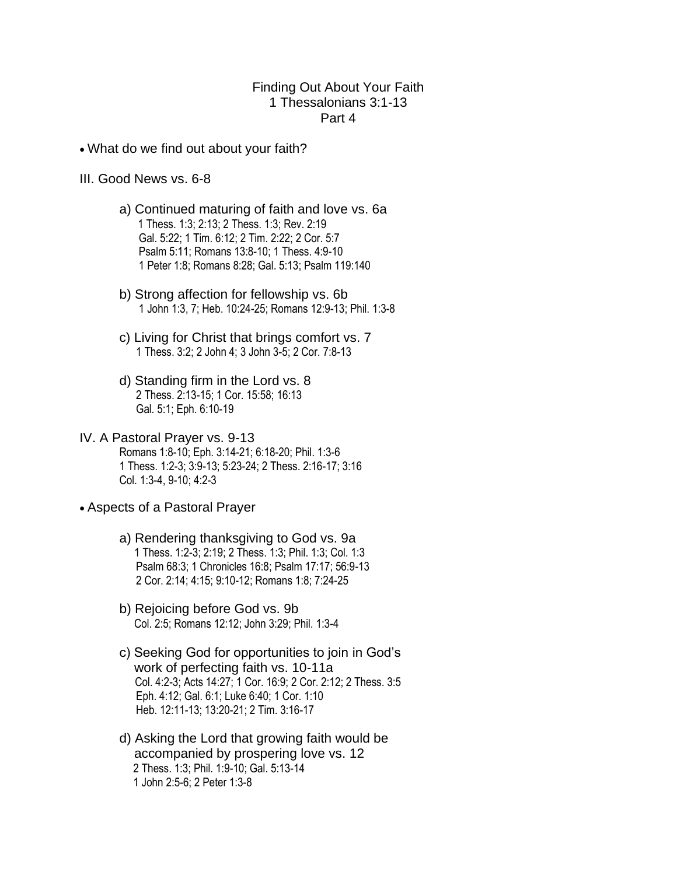## Finding Out About Your Faith 1 Thessalonians 3:1-13 Part 4

- What do we find out about your faith?
- III. Good News vs. 6-8
	- a) Continued maturing of faith and love vs. 6a 1 Thess. 1:3; 2:13; 2 Thess. 1:3; Rev. 2:19 Gal. 5:22; 1 Tim. 6:12; 2 Tim. 2:22; 2 Cor. 5:7 Psalm 5:11; Romans 13:8-10; 1 Thess. 4:9-10 1 Peter 1:8; Romans 8:28; Gal. 5:13; Psalm 119:140
	- b) Strong affection for fellowship vs. 6b 1 John 1:3, 7; Heb. 10:24-25; Romans 12:9-13; Phil. 1:3-8
	- c) Living for Christ that brings comfort vs. 7 1 Thess. 3:2; 2 John 4; 3 John 3-5; 2 Cor. 7:8-13
	- d) Standing firm in the Lord vs. 8 2 Thess. 2:13-15; 1 Cor. 15:58; 16:13 Gal. 5:1; Eph. 6:10-19
- IV. A Pastoral Prayer vs. 9-13 Romans 1:8-10; Eph. 3:14-21; 6:18-20; Phil. 1:3-6 1 Thess. 1:2-3; 3:9-13; 5:23-24; 2 Thess. 2:16-17; 3:16 Col. 1:3-4, 9-10; 4:2-3
- Aspects of a Pastoral Prayer
	- a) Rendering thanksgiving to God vs. 9a 1 Thess. 1:2-3; 2:19; 2 Thess. 1:3; Phil. 1:3; Col. 1:3 Psalm 68:3; 1 Chronicles 16:8; Psalm 17:17; 56:9-13 2 Cor. 2:14; 4:15; 9:10-12; Romans 1:8; 7:24-25
	- b) Rejoicing before God vs. 9b Col. 2:5; Romans 12:12; John 3:29; Phil. 1:3-4
	- c) Seeking God for opportunities to join in God's work of perfecting faith vs. 10-11a Col. 4:2-3; Acts 14:27; 1 Cor. 16:9; 2 Cor. 2:12; 2 Thess. 3:5 Eph. 4:12; Gal. 6:1; Luke 6:40; 1 Cor. 1:10 Heb. 12:11-13; 13:20-21; 2 Tim. 3:16-17
	- d) Asking the Lord that growing faith would be accompanied by prospering love vs. 12 2 Thess. 1:3; Phil. 1:9-10; Gal. 5:13-14 1 John 2:5-6; 2 Peter 1:3-8